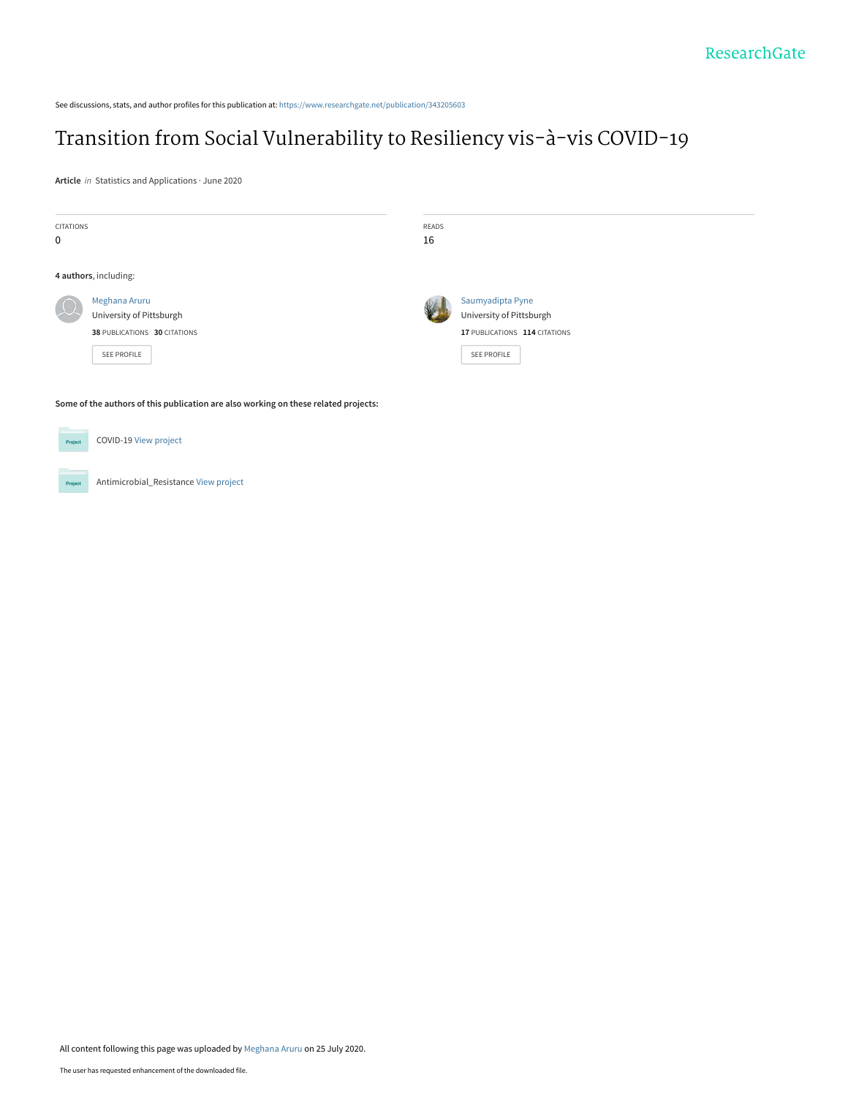See discussions, stats, and author profiles for this publication at: [https://www.researchgate.net/publication/343205603](https://www.researchgate.net/publication/343205603_Transition_from_Social_Vulnerability_to_Resiliency_vis-a-vis_COVID-19?enrichId=rgreq-6dc9a42f57fc0aaba91eda720c804338-XXX&enrichSource=Y292ZXJQYWdlOzM0MzIwNTYwMztBUzo5MTcwMjk4MTI5NzM1NjhAMTU5NTY0ODM1MzgwMw%3D%3D&el=1_x_2&_esc=publicationCoverPdf)

# [Transition from Social Vulnerability to Resiliency vis-à-vis COVID-19](https://www.researchgate.net/publication/343205603_Transition_from_Social_Vulnerability_to_Resiliency_vis-a-vis_COVID-19?enrichId=rgreq-6dc9a42f57fc0aaba91eda720c804338-XXX&enrichSource=Y292ZXJQYWdlOzM0MzIwNTYwMztBUzo5MTcwMjk4MTI5NzM1NjhAMTU5NTY0ODM1MzgwMw%3D%3D&el=1_x_3&_esc=publicationCoverPdf)

**Article** in Statistics and Applications · June 2020

| CITATIONS<br>$\mathbf 0$                                                            |                                                                                          | READS<br>16 |                                                                                              |
|-------------------------------------------------------------------------------------|------------------------------------------------------------------------------------------|-------------|----------------------------------------------------------------------------------------------|
| 4 authors, including:                                                               |                                                                                          |             |                                                                                              |
|                                                                                     | Meghana Aruru<br>University of Pittsburgh<br>38 PUBLICATIONS 30 CITATIONS<br>SEE PROFILE |             | Saumyadipta Pyne<br>University of Pittsburgh<br>17 PUBLICATIONS 114 CITATIONS<br>SEE PROFILE |
| Some of the authors of this publication are also working on these related projects: |                                                                                          |             |                                                                                              |
| Project                                                                             | COVID-19 View project                                                                    |             |                                                                                              |

Antimicrobial\_Resistance [View project](https://www.researchgate.net/project/Antimicrobial-Resistance-8?enrichId=rgreq-6dc9a42f57fc0aaba91eda720c804338-XXX&enrichSource=Y292ZXJQYWdlOzM0MzIwNTYwMztBUzo5MTcwMjk4MTI5NzM1NjhAMTU5NTY0ODM1MzgwMw%3D%3D&el=1_x_9&_esc=publicationCoverPdf) Project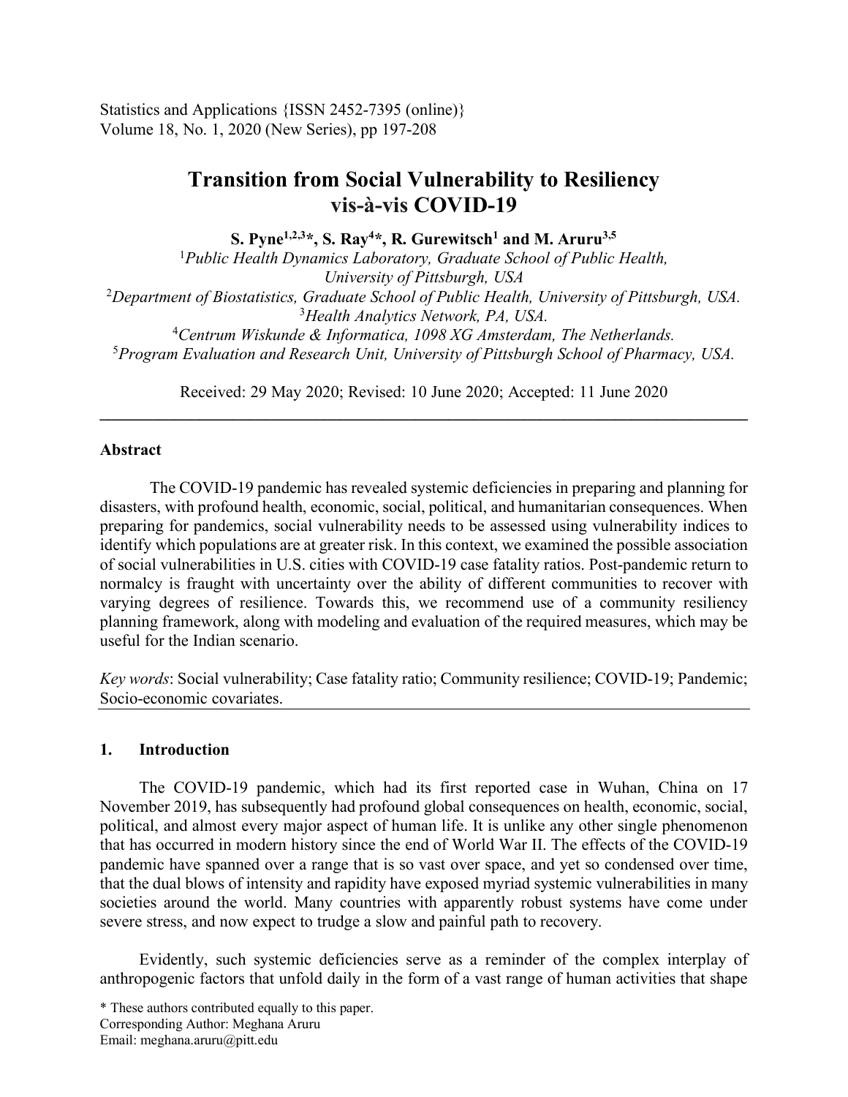Statistics and Applications {ISSN 2452-7395 (online)} Volume 18, No. 1, 2020 (New Series), pp 197-208

# **Transition from Social Vulnerability to Resiliency vis-à-vis COVID-19**

**S. Pyne1,2,3\*, S. Ray4 \*, R. Gurewitsch1 and M. Aruru3,5**

*Public Health Dynamics Laboratory, Graduate School of Public Health, University of Pittsburgh, USA Department of Biostatistics, Graduate School of Public Health, University of Pittsburgh, USA. Health Analytics Network, PA, USA. Centrum Wiskunde & Informatica, 1098 XG Amsterdam, The Netherlands. Program Evaluation and Research Unit, University of Pittsburgh School of Pharmacy, USA.*

Received: 29 May 2020; Revised: 10 June 2020; Accepted: 11 June 2020  $\mathcal{L}_\mathcal{L} = \{ \mathcal{L}_\mathcal{L} = \{ \mathcal{L}_\mathcal{L} = \{ \mathcal{L}_\mathcal{L} = \{ \mathcal{L}_\mathcal{L} = \{ \mathcal{L}_\mathcal{L} = \{ \mathcal{L}_\mathcal{L} = \{ \mathcal{L}_\mathcal{L} = \{ \mathcal{L}_\mathcal{L} = \{ \mathcal{L}_\mathcal{L} = \{ \mathcal{L}_\mathcal{L} = \{ \mathcal{L}_\mathcal{L} = \{ \mathcal{L}_\mathcal{L} = \{ \mathcal{L}_\mathcal{L} = \{ \mathcal{L}_\mathcal{$ 

## **Abstract**

The COVID-19 pandemic has revealed systemic deficiencies in preparing and planning for disasters, with profound health, economic, social, political, and humanitarian consequences. When preparing for pandemics, social vulnerability needs to be assessed using vulnerability indices to identify which populations are at greater risk. In this context, we examined the possible association of social vulnerabilities in U.S. cities with COVID-19 case fatality ratios. Post-pandemic return to normalcy is fraught with uncertainty over the ability of different communities to recover with varying degrees of resilience. Towards this, we recommend use of a community resiliency planning framework, along with modeling and evaluation of the required measures, which may be useful for the Indian scenario.

*Key words*: Social vulnerability; Case fatality ratio; Community resilience; COVID-19; Pandemic; Socio-economic covariates.

## **1. Introduction**

The COVID-19 pandemic, which had its first reported case in Wuhan, China on 17 November 2019, has subsequently had profound global consequences on health, economic, social, political, and almost every major aspect of human life. It is unlike any other single phenomenon that has occurred in modern history since the end of World War II. The effects of the COVID-19 pandemic have spanned over a range that is so vast over space, and yet so condensed over time, that the dual blows of intensity and rapidity have exposed myriad systemic vulnerabilities in many societies around the world. Many countries with apparently robust systems have come under severe stress, and now expect to trudge a slow and painful path to recovery.

Evidently, such systemic deficiencies serve as a reminder of the complex interplay of anthropogenic factors that unfold daily in the form of a vast range of human activities that shape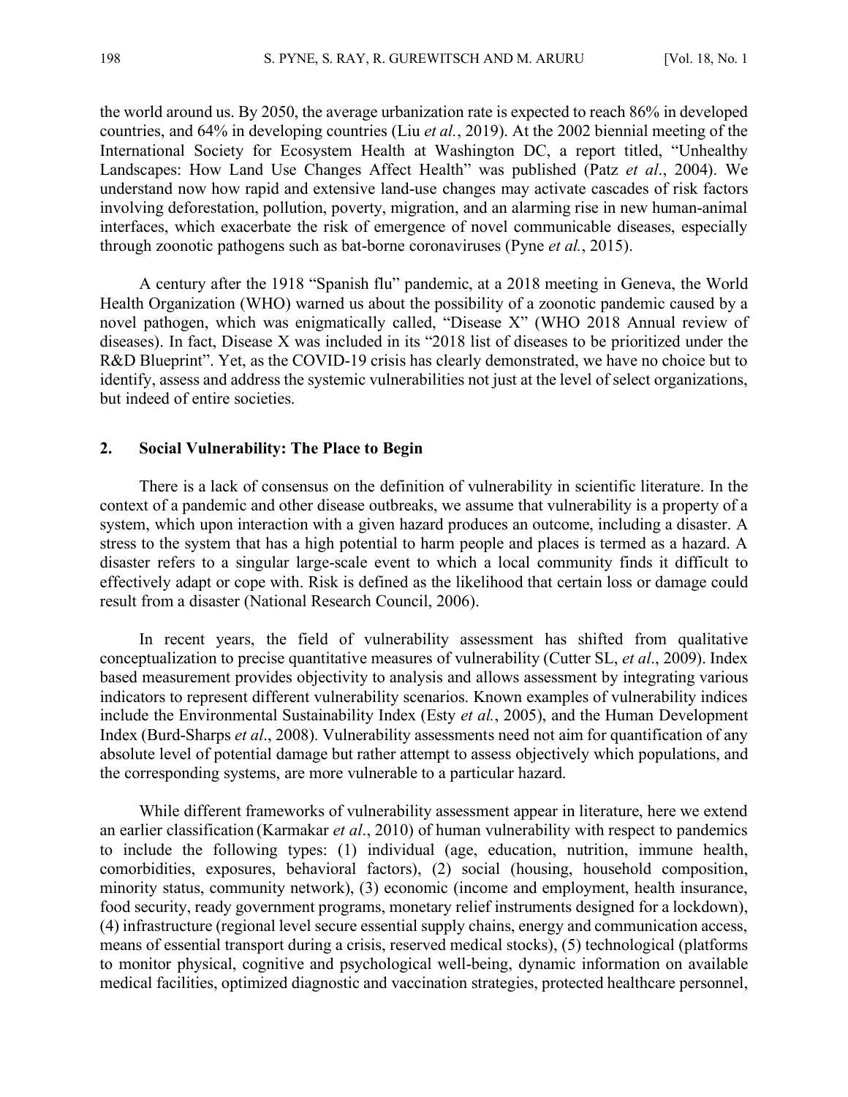the world around us. By 2050, the average urbanization rate is expected to reach 86% in developed countries, and 64% in developing countries (Liu *et al.*, 2019). At the 2002 biennial meeting of the International Society for Ecosystem Health at Washington DC, a report titled, "Unhealthy Landscapes: How Land Use Changes Affect Health" was published (Patz *et al*., 2004). We understand now how rapid and extensive land-use changes may activate cascades of risk factors involving deforestation, pollution, poverty, migration, and an alarming rise in new human-animal interfaces, which exacerbate the risk of emergence of novel communicable diseases, especially through zoonotic pathogens such as bat-borne coronaviruses (Pyne *et al.*, 2015).

A century after the 1918 "Spanish flu" pandemic, at a 2018 meeting in Geneva, the World Health Organization (WHO) warned us about the possibility of a zoonotic pandemic caused by a novel pathogen, which was enigmatically called, "Disease X" (WHO 2018 Annual review of diseases). In fact, Disease X was included in its "2018 list of diseases to be prioritized under the R&D Blueprint". Yet, as the COVID-19 crisis has clearly demonstrated, we have no choice but to identify, assess and address the systemic vulnerabilities not just at the level of select organizations, but indeed of entire societies.

#### **2. Social Vulnerability: The Place to Begin**

There is a lack of consensus on the definition of vulnerability in scientific literature. In the context of a pandemic and other disease outbreaks, we assume that vulnerability is a property of a system, which upon interaction with a given hazard produces an outcome, including a disaster. A stress to the system that has a high potential to harm people and places is termed as a hazard. A disaster refers to a singular large-scale event to which a local community finds it difficult to effectively adapt or cope with. Risk is defined as the likelihood that certain loss or damage could result from a disaster (National Research Council, 2006).

In recent years, the field of vulnerability assessment has shifted from qualitative conceptualization to precise quantitative measures of vulnerability (Cutter SL, *et al*., 2009). Index based measurement provides objectivity to analysis and allows assessment by integrating various indicators to represent different vulnerability scenarios. Known examples of vulnerability indices include the Environmental Sustainability Index (Esty *et al.*, 2005), and the Human Development Index (Burd-Sharps *et al*., 2008). Vulnerability assessments need not aim for quantification of any absolute level of potential damage but rather attempt to assess objectively which populations, and the corresponding systems, are more vulnerable to a particular hazard.

While different frameworks of vulnerability assessment appear in literature, here we extend an earlier classification (Karmakar *et al*., 2010) of human vulnerability with respect to pandemics to include the following types: (1) individual (age, education, nutrition, immune health, comorbidities, exposures, behavioral factors), (2) social (housing, household composition, minority status, community network), (3) economic (income and employment, health insurance, food security, ready government programs, monetary relief instruments designed for a lockdown), (4) infrastructure (regional level secure essential supply chains, energy and communication access, means of essential transport during a crisis, reserved medical stocks), (5) technological (platforms to monitor physical, cognitive and psychological well-being, dynamic information on available medical facilities, optimized diagnostic and vaccination strategies, protected healthcare personnel,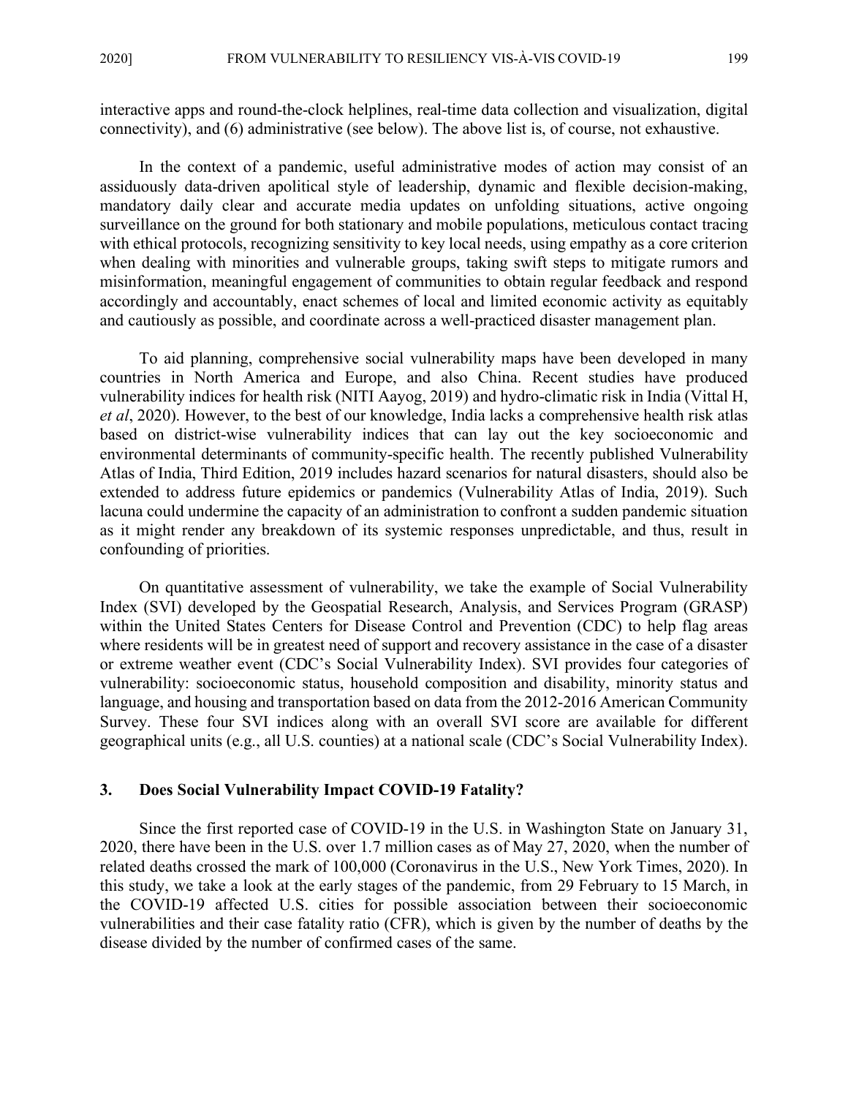interactive apps and round-the-clock helplines, real-time data collection and visualization, digital connectivity), and (6) administrative (see below). The above list is, of course, not exhaustive.

In the context of a pandemic, useful administrative modes of action may consist of an assiduously data-driven apolitical style of leadership, dynamic and flexible decision-making, mandatory daily clear and accurate media updates on unfolding situations, active ongoing surveillance on the ground for both stationary and mobile populations, meticulous contact tracing with ethical protocols, recognizing sensitivity to key local needs, using empathy as a core criterion when dealing with minorities and vulnerable groups, taking swift steps to mitigate rumors and misinformation, meaningful engagement of communities to obtain regular feedback and respond accordingly and accountably, enact schemes of local and limited economic activity as equitably and cautiously as possible, and coordinate across a well-practiced disaster management plan.

To aid planning, comprehensive social vulnerability maps have been developed in many countries in North America and Europe, and also China. Recent studies have produced vulnerability indices for health risk (NITI Aayog, 2019) and hydro-climatic risk in India (Vittal H, *et al*, 2020). However, to the best of our knowledge, India lacks a comprehensive health risk atlas based on district-wise vulnerability indices that can lay out the key socioeconomic and environmental determinants of community-specific health. The recently published Vulnerability Atlas of India, Third Edition, 2019 includes hazard scenarios for natural disasters, should also be extended to address future epidemics or pandemics (Vulnerability Atlas of India, 2019). Such lacuna could undermine the capacity of an administration to confront a sudden pandemic situation as it might render any breakdown of its systemic responses unpredictable, and thus, result in confounding of priorities.

On quantitative assessment of vulnerability, we take the example of Social Vulnerability Index (SVI) developed by the Geospatial Research, Analysis, and Services Program (GRASP) within the United States Centers for Disease Control and Prevention (CDC) to help flag areas where residents will be in greatest need of support and recovery assistance in the case of a disaster or extreme weather event (CDC's Social Vulnerability Index). SVI provides four categories of vulnerability: socioeconomic status, household composition and disability, minority status and language, and housing and transportation based on data from the 2012-2016 American Community Survey. These four SVI indices along with an overall SVI score are available for different geographical units (e.g., all U.S. counties) at a national scale (CDC's Social Vulnerability Index).

#### **3. Does Social Vulnerability Impact COVID-19 Fatality?**

Since the first reported case of COVID-19 in the U.S. in Washington State on January 31, 2020, there have been in the U.S. over 1.7 million cases as of May 27, 2020, when the number of related deaths crossed the mark of 100,000 (Coronavirus in the U.S., New York Times, 2020). In this study, we take a look at the early stages of the pandemic, from 29 February to 15 March, in the COVID-19 affected U.S. cities for possible association between their socioeconomic vulnerabilities and their case fatality ratio (CFR), which is given by the number of deaths by the disease divided by the number of confirmed cases of the same.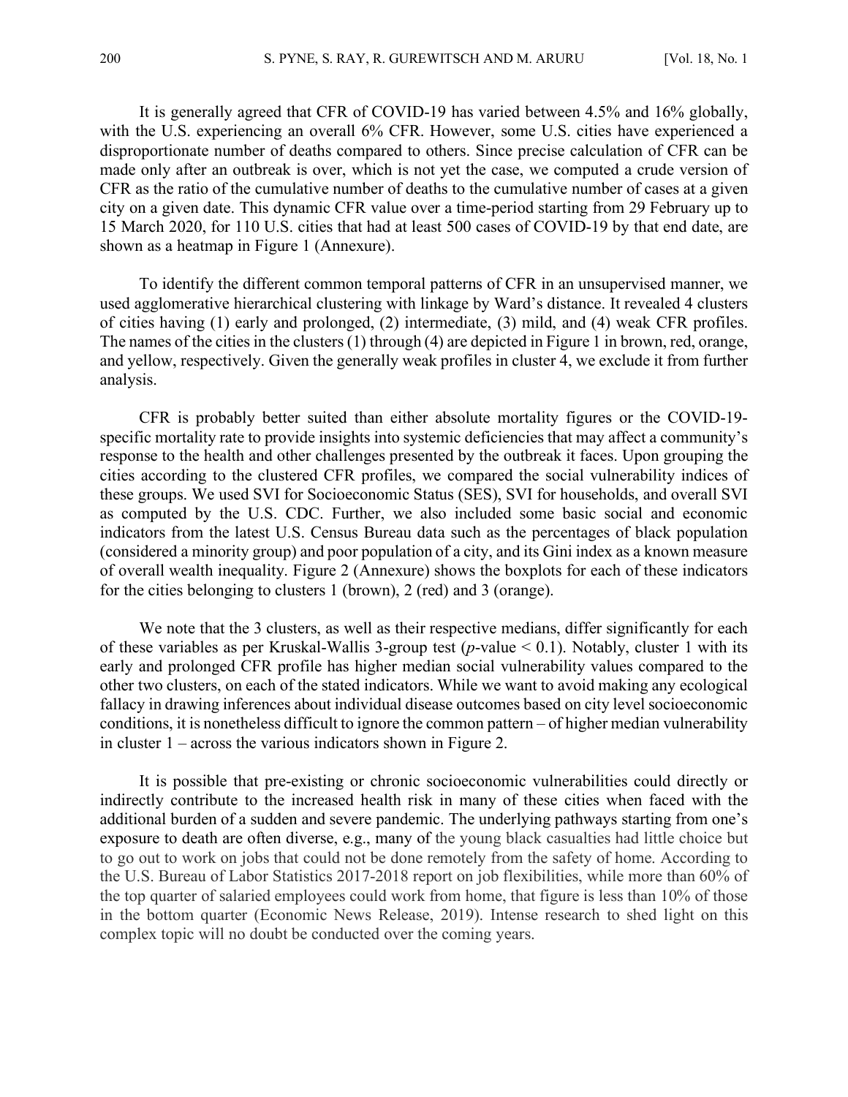It is generally agreed that CFR of COVID-19 has varied between 4.5% and 16% globally, with the U.S. experiencing an overall 6% CFR. However, some U.S. cities have experienced a disproportionate number of deaths compared to others. Since precise calculation of CFR can be made only after an outbreak is over, which is not yet the case, we computed a crude version of CFR as the ratio of the cumulative number of deaths to the cumulative number of cases at a given city on a given date. This dynamic CFR value over a time-period starting from 29 February up to 15 March 2020, for 110 U.S. cities that had at least 500 cases of COVID-19 by that end date, are shown as a heatmap in Figure 1 (Annexure).

To identify the different common temporal patterns of CFR in an unsupervised manner, we used agglomerative hierarchical clustering with linkage by Ward's distance. It revealed 4 clusters of cities having (1) early and prolonged, (2) intermediate, (3) mild, and (4) weak CFR profiles. The names of the cities in the clusters (1) through (4) are depicted in Figure 1 in brown, red, orange, and yellow, respectively. Given the generally weak profiles in cluster 4, we exclude it from further analysis.

CFR is probably better suited than either absolute mortality figures or the COVID-19 specific mortality rate to provide insights into systemic deficiencies that may affect a community's response to the health and other challenges presented by the outbreak it faces. Upon grouping the cities according to the clustered CFR profiles, we compared the social vulnerability indices of these groups. We used SVI for Socioeconomic Status (SES), SVI for households, and overall SVI as computed by the U.S. CDC. Further, we also included some basic social and economic indicators from the latest U.S. Census Bureau data such as the percentages of black population (considered a minority group) and poor population of a city, and its Gini index as a known measure of overall wealth inequality. Figure 2 (Annexure) shows the boxplots for each of these indicators for the cities belonging to clusters 1 (brown), 2 (red) and 3 (orange).

We note that the 3 clusters, as well as their respective medians, differ significantly for each of these variables as per Kruskal-Wallis 3-group test (*p*-value < 0.1). Notably, cluster 1 with its early and prolonged CFR profile has higher median social vulnerability values compared to the other two clusters, on each of the stated indicators. While we want to avoid making any ecological fallacy in drawing inferences about individual disease outcomes based on city level socioeconomic conditions, it is nonetheless difficult to ignore the common pattern – of higher median vulnerability in cluster 1 – across the various indicators shown in Figure 2.

It is possible that pre-existing or chronic socioeconomic vulnerabilities could directly or indirectly contribute to the increased health risk in many of these cities when faced with the additional burden of a sudden and severe pandemic. The underlying pathways starting from one's exposure to death are often diverse, e.g., many of the young black casualties had little choice but to go out to work on jobs that could not be done remotely from the safety of home. According to the U.S. Bureau of Labor Statistics 2017-2018 report on job flexibilities, while more than 60% of the top quarter of salaried employees could work from home, that figure is less than 10% of those in the bottom quarter (Economic News Release, 2019). Intense research to shed light on this complex topic will no doubt be conducted over the coming years.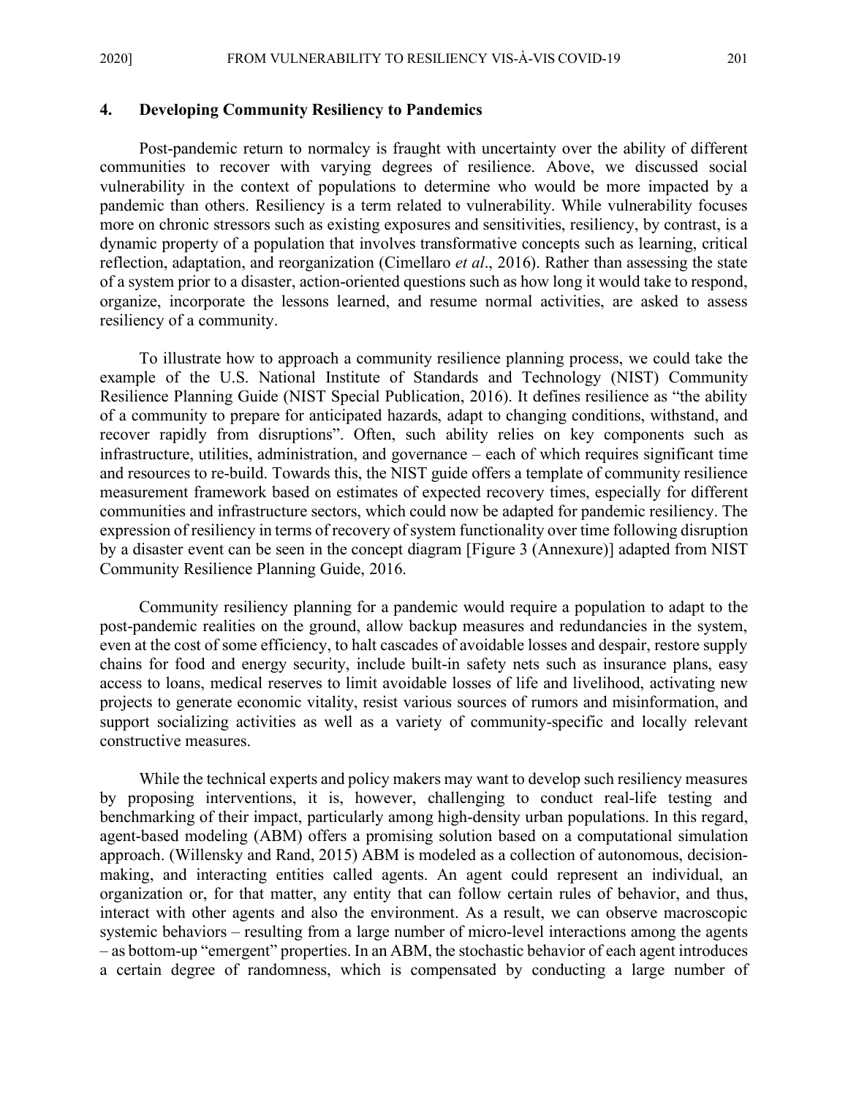2020] FROM VULNERABILITY TO RESILIENCY VIS-À-VIS COVID-19 201

#### **4. Developing Community Resiliency to Pandemics**

Post-pandemic return to normalcy is fraught with uncertainty over the ability of different communities to recover with varying degrees of resilience. Above, we discussed social vulnerability in the context of populations to determine who would be more impacted by a pandemic than others. Resiliency is a term related to vulnerability. While vulnerability focuses more on chronic stressors such as existing exposures and sensitivities, resiliency, by contrast, is a dynamic property of a population that involves transformative concepts such as learning, critical reflection, adaptation, and reorganization (Cimellaro *et al*., 2016). Rather than assessing the state of a system prior to a disaster, action-oriented questions such as how long it would take to respond, organize, incorporate the lessons learned, and resume normal activities, are asked to assess resiliency of a community.

To illustrate how to approach a community resilience planning process, we could take the example of the U.S. National Institute of Standards and Technology (NIST) Community Resilience Planning Guide (NIST Special Publication, 2016). It defines resilience as "the ability of a community to prepare for anticipated hazards, adapt to changing conditions, withstand, and recover rapidly from disruptions". Often, such ability relies on key components such as infrastructure, utilities, administration, and governance – each of which requires significant time and resources to re-build. Towards this, the NIST guide offers a template of community resilience measurement framework based on estimates of expected recovery times, especially for different communities and infrastructure sectors, which could now be adapted for pandemic resiliency. The expression of resiliency in terms of recovery of system functionality over time following disruption by a disaster event can be seen in the concept diagram [Figure 3 (Annexure)] adapted from NIST Community Resilience Planning Guide, 2016.

Community resiliency planning for a pandemic would require a population to adapt to the post-pandemic realities on the ground, allow backup measures and redundancies in the system, even at the cost of some efficiency, to halt cascades of avoidable losses and despair, restore supply chains for food and energy security, include built-in safety nets such as insurance plans, easy access to loans, medical reserves to limit avoidable losses of life and livelihood, activating new projects to generate economic vitality, resist various sources of rumors and misinformation, and support socializing activities as well as a variety of community-specific and locally relevant constructive measures.

While the technical experts and policy makers may want to develop such resiliency measures by proposing interventions, it is, however, challenging to conduct real-life testing and benchmarking of their impact, particularly among high-density urban populations. In this regard, agent-based modeling (ABM) offers a promising solution based on a computational simulation approach. (Willensky and Rand, 2015) ABM is modeled as a collection of autonomous, decisionmaking, and interacting entities called agents. An agent could represent an individual, an organization or, for that matter, any entity that can follow certain rules of behavior, and thus, interact with other agents and also the environment. As a result, we can observe macroscopic systemic behaviors – resulting from a large number of micro-level interactions among the agents – as bottom-up "emergent" properties. In an ABM, the stochastic behavior of each agent introduces a certain degree of randomness, which is compensated by conducting a large number of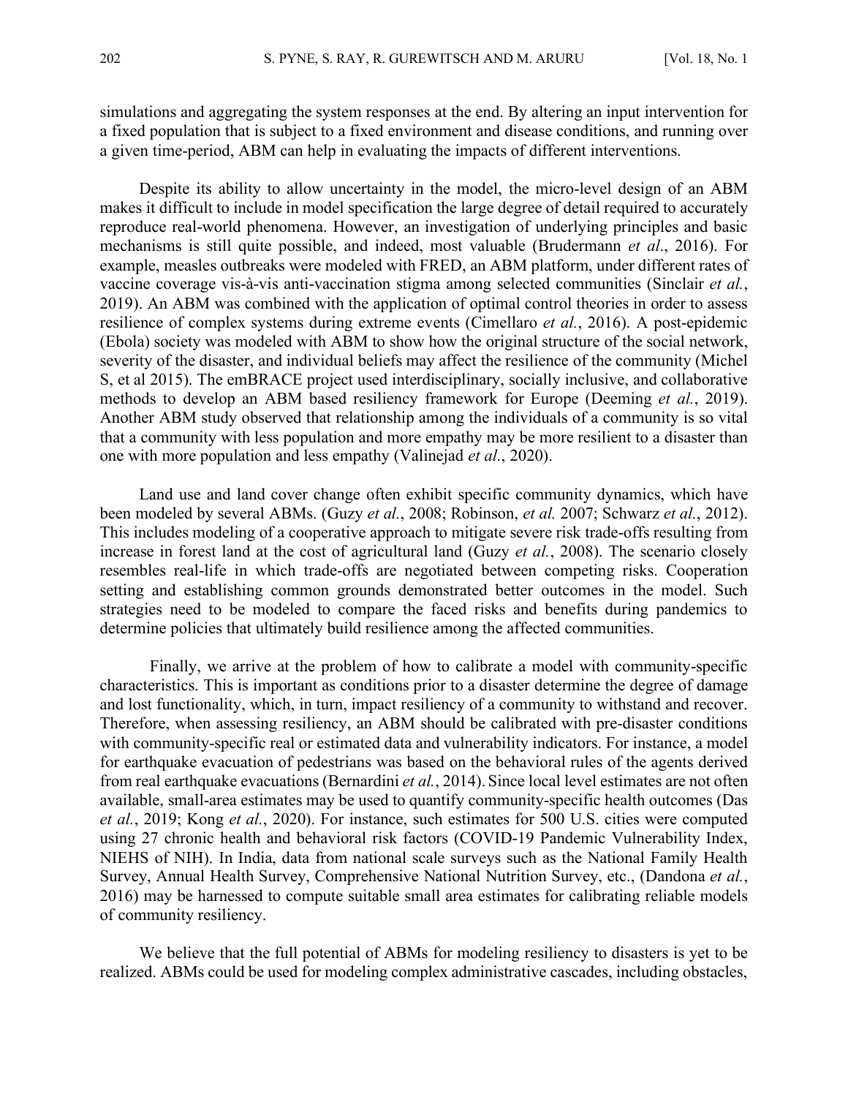simulations and aggregating the system responses at the end. By altering an input intervention for a fixed population that is subject to a fixed environment and disease conditions, and running over a given time-period, ABM can help in evaluating the impacts of different interventions.

Despite its ability to allow uncertainty in the model, the micro-level design of an ABM makes it difficult to include in model specification the large degree of detail required to accurately reproduce real-world phenomena. However, an investigation of underlying principles and basic mechanisms is still quite possible, and indeed, most valuable (Brudermann *et al*., 2016). For example, measles outbreaks were modeled with FRED, an ABM platform, under different rates of vaccine coverage vis-à-vis anti-vaccination stigma among selected communities (Sinclair *et al.*, 2019). An ABM was combined with the application of optimal control theories in order to assess resilience of complex systems during extreme events (Cimellaro *et al.*, 2016). A post-epidemic (Ebola) society was modeled with ABM to show how the original structure of the social network, severity of the disaster, and individual beliefs may affect the resilience of the community (Michel S, et al 2015). The emBRACE project used interdisciplinary, socially inclusive, and collaborative methods to develop an ABM based resiliency framework for Europe (Deeming *et al.*, 2019). Another ABM study observed that relationship among the individuals of a community is so vital that a community with less population and more empathy may be more resilient to a disaster than one with more population and less empathy (Valinejad *et al.*, 2020).

Land use and land cover change often exhibit specific community dynamics, which have been modeled by several ABMs. (Guzy *et al.*, 2008; Robinson, *et al.* 2007; Schwarz *et al.*, 2012). This includes modeling of a cooperative approach to mitigate severe risk trade-offs resulting from increase in forest land at the cost of agricultural land (Guzy *et al.*, 2008). The scenario closely resembles real-life in which trade-offs are negotiated between competing risks. Cooperation setting and establishing common grounds demonstrated better outcomes in the model. Such strategies need to be modeled to compare the faced risks and benefits during pandemics to determine policies that ultimately build resilience among the affected communities.

Finally, we arrive at the problem of how to calibrate a model with community-specific characteristics. This is important as conditions prior to a disaster determine the degree of damage and lost functionality, which, in turn, impact resiliency of a community to withstand and recover. Therefore, when assessing resiliency, an ABM should be calibrated with pre-disaster conditions with community-specific real or estimated data and vulnerability indicators. For instance, a model for earthquake evacuation of pedestrians was based on the behavioral rules of the agents derived from real earthquake evacuations (Bernardini *et al.*, 2014).Since local level estimates are not often available, small-area estimates may be used to quantify community-specific health outcomes (Das *et al.*, 2019; Kong *et al.*, 2020). For instance, such estimates for 500 U.S. cities were computed using 27 chronic health and behavioral risk factors (COVID-19 Pandemic Vulnerability Index, NIEHS of NIH). In India, data from national scale surveys such as the National Family Health Survey, Annual Health Survey, Comprehensive National Nutrition Survey, etc., (Dandona *et al.*, 2016) may be harnessed to compute suitable small area estimates for calibrating reliable models of community resiliency.

We believe that the full potential of ABMs for modeling resiliency to disasters is yet to be realized. ABMs could be used for modeling complex administrative cascades, including obstacles,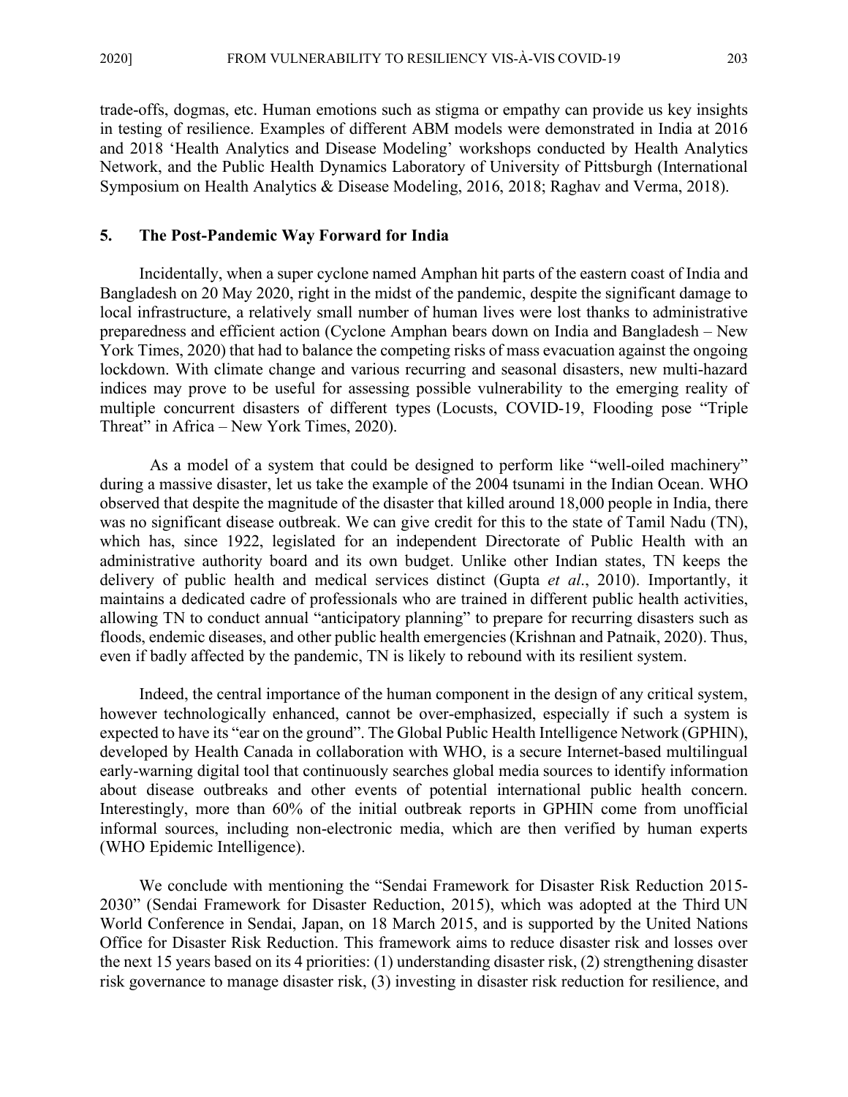trade-offs, dogmas, etc. Human emotions such as stigma or empathy can provide us key insights in testing of resilience. Examples of different ABM models were demonstrated in India at 2016 and 2018 'Health Analytics and Disease Modeling' workshops conducted by Health Analytics Network, and the Public Health Dynamics Laboratory of University of Pittsburgh (International Symposium on Health Analytics & Disease Modeling, 2016, 2018; Raghav and Verma, 2018).

#### **5. The Post-Pandemic Way Forward for India**

Incidentally, when a super cyclone named Amphan hit parts of the eastern coast of India and Bangladesh on 20 May 2020, right in the midst of the pandemic, despite the significant damage to local infrastructure, a relatively small number of human lives were lost thanks to administrative preparedness and efficient action (Cyclone Amphan bears down on India and Bangladesh – New York Times, 2020) that had to balance the competing risks of mass evacuation against the ongoing lockdown. With climate change and various recurring and seasonal disasters, new multi-hazard indices may prove to be useful for assessing possible vulnerability to the emerging reality of multiple concurrent disasters of different types (Locusts, COVID-19, Flooding pose "Triple Threat" in Africa – New York Times, 2020).

As a model of a system that could be designed to perform like "well-oiled machinery" during a massive disaster, let us take the example of the 2004 tsunami in the Indian Ocean. WHO observed that despite the magnitude of the disaster that killed around 18,000 people in India, there was no significant disease outbreak. We can give credit for this to the state of Tamil Nadu (TN), which has, since 1922, legislated for an independent Directorate of Public Health with an administrative authority board and its own budget. Unlike other Indian states, TN keeps the delivery of public health and medical services distinct (Gupta *et al*., 2010). Importantly, it maintains a dedicated cadre of professionals who are trained in different public health activities, allowing TN to conduct annual "anticipatory planning" to prepare for recurring disasters such as floods, endemic diseases, and other public health emergencies(Krishnan and Patnaik, 2020). Thus, even if badly affected by the pandemic, TN is likely to rebound with its resilient system.

Indeed, the central importance of the human component in the design of any critical system, however technologically enhanced, cannot be over-emphasized, especially if such a system is expected to have its "ear on the ground". The Global Public Health Intelligence Network (GPHIN), developed by Health Canada in collaboration with WHO, is a secure Internet-based multilingual early-warning digital tool that continuously searches global media sources to identify information about disease outbreaks and other events of potential international public health concern. Interestingly, more than 60% of the initial outbreak reports in GPHIN come from unofficial informal sources, including non-electronic media, which are then verified by human experts (WHO Epidemic Intelligence).

We conclude with mentioning the "Sendai Framework for Disaster Risk Reduction 2015- 2030" (Sendai Framework for Disaster Reduction, 2015), which was adopted at the Third UN World Conference in Sendai, Japan, on 18 March 2015, and is supported by the United Nations Office for Disaster Risk Reduction. This framework aims to reduce disaster risk and losses over the next 15 years based on its 4 priorities: (1) understanding disaster risk, (2) strengthening disaster risk governance to manage disaster risk, (3) investing in disaster risk reduction for resilience, and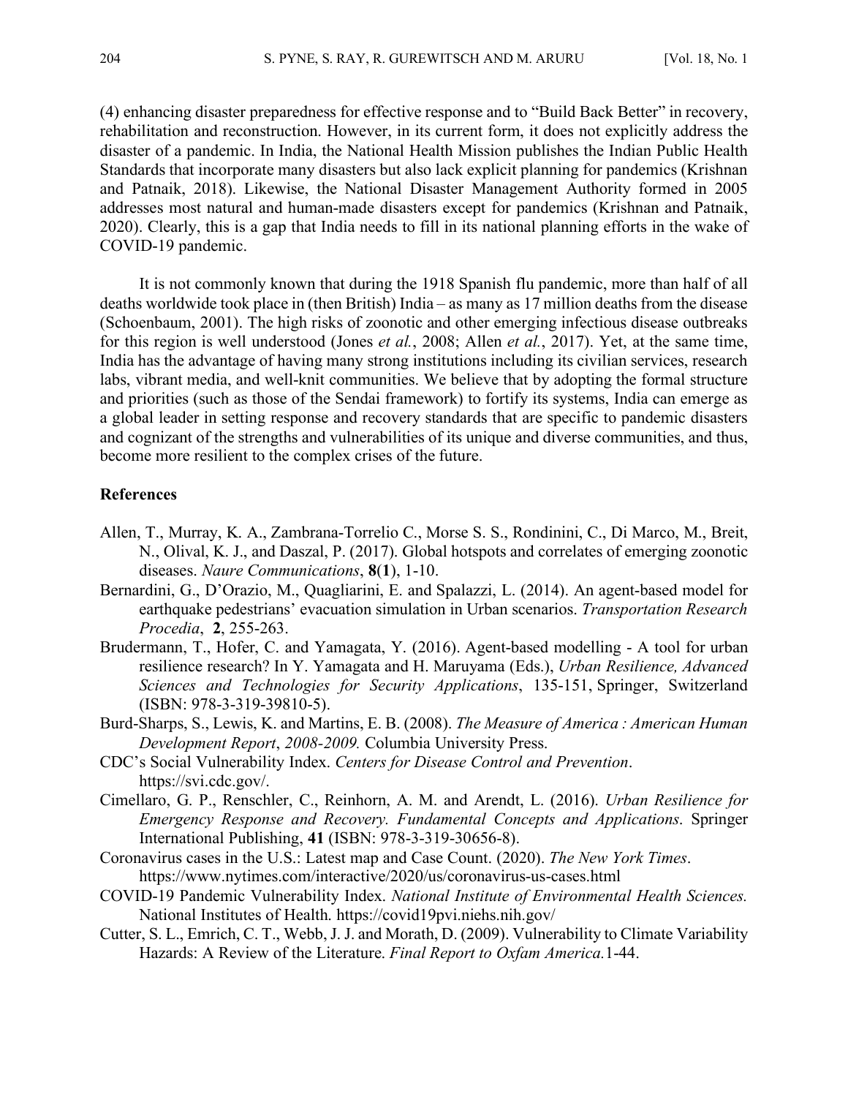(4) enhancing disaster preparedness for effective response and to "Build Back Better" in recovery, rehabilitation and reconstruction. However, in its current form, it does not explicitly address the disaster of a pandemic. In India, the National Health Mission publishes the Indian Public Health Standards that incorporate many disasters but also lack explicit planning for pandemics (Krishnan and Patnaik, 2018). Likewise, the National Disaster Management Authority formed in 2005 addresses most natural and human-made disasters except for pandemics (Krishnan and Patnaik, 2020). Clearly, this is a gap that India needs to fill in its national planning efforts in the wake of COVID-19 pandemic.

It is not commonly known that during the 1918 Spanish flu pandemic, more than half of all deaths worldwide took place in (then British) India – as many as  $17$  million deaths from the disease (Schoenbaum, 2001). The high risks of zoonotic and other emerging infectious disease outbreaks for this region is well understood (Jones *et al.*, 2008; Allen *et al.*, 2017). Yet, at the same time, India has the advantage of having many strong institutions including its civilian services, research labs, vibrant media, and well-knit communities. We believe that by adopting the formal structure and priorities (such as those of the Sendai framework) to fortify its systems, India can emerge as a global leader in setting response and recovery standards that are specific to pandemic disasters and cognizant of the strengths and vulnerabilities of its unique and diverse communities, and thus, become more resilient to the complex crises of the future.

#### **References**

- Allen, T., Murray, K. A., Zambrana-Torrelio C., Morse S. S., Rondinini, C., Di Marco, M., Breit, N., Olival, K. J., and Daszal, P. (2017). Global hotspots and correlates of emerging zoonotic diseases. *Naure Communications*, **8**(**1**), 1-10.
- Bernardini, G., D'Orazio, M., Quagliarini, E. and Spalazzi, L. (2014). An agent-based model for earthquake pedestrians' evacuation simulation in Urban scenarios. *Transportation Research Procedia*, **2**, 255-263.
- Brudermann, T., Hofer, C. and Yamagata, Y. (2016). Agent-based modelling A tool for urban resilience research? In Y. Yamagata and H. Maruyama (Eds.), *Urban Resilience, Advanced Sciences and Technologies for Security Applications*, 135-151, Springer, Switzerland (ISBN: 978-3-319-39810-5).
- Burd-Sharps, S., Lewis, K. and Martins, E. B. (2008). *The Measure of America : American Human Development Report*, *2008-2009.* Columbia University Press.
- CDC's Social Vulnerability Index. *Centers for Disease Control and Prevention*. https://svi.cdc.gov/.
- Cimellaro, G. P., Renschler, C., Reinhorn, A. M. and Arendt, L. (2016). *Urban Resilience for Emergency Response and Recovery. Fundamental Concepts and Applications*. Springer International Publishing, **41** (ISBN: 978-3-319-30656-8).
- Coronavirus cases in the U.S.: Latest map and Case Count. (2020). *The New York Times*. https://www.nytimes.com/interactive/2020/us/coronavirus-us-cases.html
- COVID-19 Pandemic Vulnerability Index. *National Institute of Environmental Health Sciences.* National Institutes of Health. https://covid19pvi.niehs.nih.gov/
- Cutter, S. L., Emrich, C. T., Webb, J. J. and Morath, D. (2009). Vulnerability to Climate Variability Hazards: A Review of the Literature. *Final Report to Oxfam America.*1-44.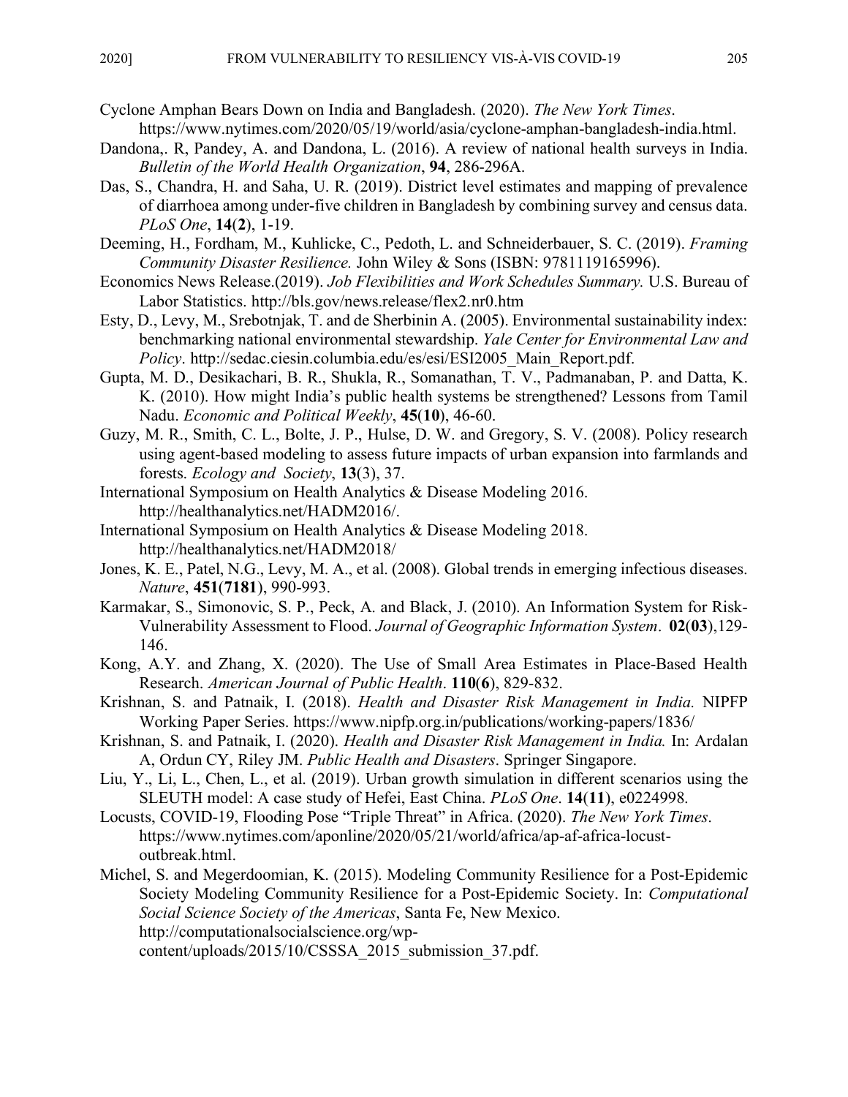- Cyclone Amphan Bears Down on India and Bangladesh. (2020). *The New York Times*. https://www.nytimes.com/2020/05/19/world/asia/cyclone-amphan-bangladesh-india.html.
- Dandona,. R, Pandey, A. and Dandona, L. (2016). A review of national health surveys in India. *Bulletin of the World Health Organization*, **94**, 286-296A.
- Das, S., Chandra, H. and Saha, U. R. (2019). District level estimates and mapping of prevalence of diarrhoea among under-five children in Bangladesh by combining survey and census data. *PLoS One*, **14**(**2**), 1-19.
- Deeming, H., Fordham, M., Kuhlicke, C., Pedoth, L. and Schneiderbauer, S. C. (2019). *Framing Community Disaster Resilience.* John Wiley & Sons (ISBN: 9781119165996).
- Economics News Release.(2019). *Job Flexibilities and Work Schedules Summary.* U.S. Bureau of Labor Statistics. http://bls.gov/news.release/flex2.nr0.htm
- Esty, D., Levy, M., Srebotnjak, T. and de Sherbinin A. (2005). Environmental sustainability index: benchmarking national environmental stewardship. *Yale Center for Environmental Law and Policy*. http://sedac.ciesin.columbia.edu/es/esi/ESI2005\_Main\_Report.pdf.
- Gupta, M. D., Desikachari, B. R., Shukla, R., Somanathan, T. V., Padmanaban, P. and Datta, K. K. (2010). How might India's public health systems be strengthened? Lessons from Tamil Nadu. *Economic and Political Weekly*, **45**(**10**), 46-60.
- Guzy, M. R., Smith, C. L., Bolte, J. P., Hulse, D. W. and Gregory, S. V. (2008). Policy research using agent-based modeling to assess future impacts of urban expansion into farmlands and forests. *Ecology and Society*, **13**(3), 37.
- International Symposium on Health Analytics & Disease Modeling 2016. http://healthanalytics.net/HADM2016/.
- International Symposium on Health Analytics & Disease Modeling 2018. http://healthanalytics.net/HADM2018/
- Jones, K. E., Patel, N.G., Levy, M. A., et al. (2008). Global trends in emerging infectious diseases. *Nature*, **451**(**7181**), 990-993.
- Karmakar, S., Simonovic, S. P., Peck, A. and Black, J. (2010). An Information System for Risk-Vulnerability Assessment to Flood. *Journal of Geographic Information System*. **02**(**03**),129- 146.
- Kong, A.Y. and Zhang, X. (2020). The Use of Small Area Estimates in Place-Based Health Research. *American Journal of Public Health*. **110**(**6**), 829-832.
- Krishnan, S. and Patnaik, I. (2018). *Health and Disaster Risk Management in India.* NIPFP Working Paper Series. https://www.nipfp.org.in/publications/working-papers/1836/
- Krishnan, S. and Patnaik, I. (2020). *Health and Disaster Risk Management in India.* In: Ardalan A, Ordun CY, Riley JM. *Public Health and Disasters*. Springer Singapore.
- Liu, Y., Li, L., Chen, L., et al. (2019). Urban growth simulation in different scenarios using the SLEUTH model: A case study of Hefei, East China. *PLoS One*. **14**(**11**), e0224998.
- Locusts, COVID-19, Flooding Pose "Triple Threat" in Africa. (2020). *The New York Times*. https://www.nytimes.com/aponline/2020/05/21/world/africa/ap-af-africa-locustoutbreak.html.
- Michel, S. and Megerdoomian, K. (2015). Modeling Community Resilience for a Post-Epidemic Society Modeling Community Resilience for a Post-Epidemic Society. In: *Computational Social Science Society of the Americas*, Santa Fe, New Mexico. http://computationalsocialscience.org/wp-

content/uploads/2015/10/CSSSA\_2015\_submission\_37.pdf.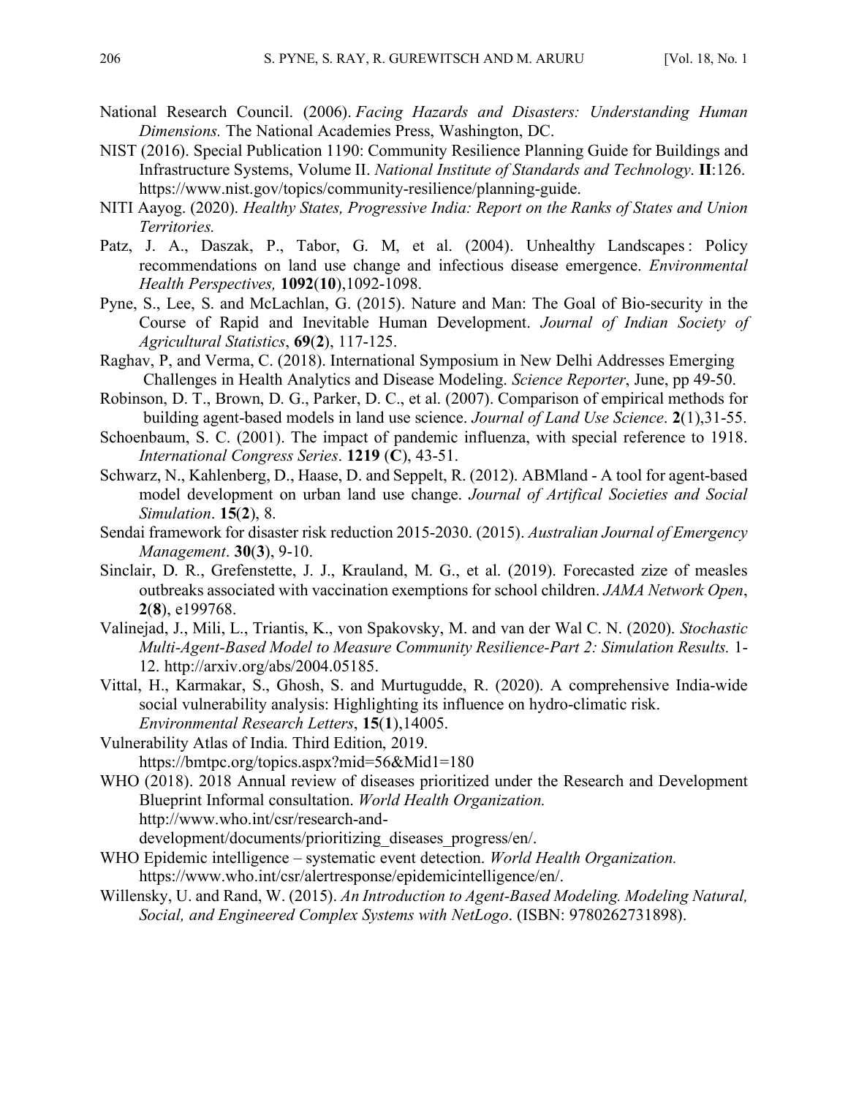- National Research Council. (2006). *Facing Hazards and Disasters: Understanding Human Dimensions.* The National Academies Press, Washington, DC.
- NIST (2016). Special Publication 1190: Community Resilience Planning Guide for Buildings and Infrastructure Systems, Volume II. *National Institute of Standards and Technology*. **II**:126. https://www.nist.gov/topics/community-resilience/planning-guide.
- NITI Aayog. (2020). *Healthy States, Progressive India: Report on the Ranks of States and Union Territories.*
- Patz, J. A., Daszak, P., Tabor, G. M, et al. (2004). Unhealthy Landscapes: Policy recommendations on land use change and infectious disease emergence. *Environmental Health Perspectives,* **1092**(**10**),1092-1098.
- Pyne, S., Lee, S. and McLachlan, G. (2015). Nature and Man: The Goal of Bio-security in the Course of Rapid and Inevitable Human Development. *Journal of Indian Society of Agricultural Statistics*, **69**(**2**), 117-125.
- Raghav, P, and Verma, C. (2018). International Symposium in New Delhi Addresses Emerging Challenges in Health Analytics and Disease Modeling. *Science Reporter*, June, pp 49-50.
- Robinson, D. T., Brown, D. G., Parker, D. C., et al. (2007). Comparison of empirical methods for building agent-based models in land use science. *Journal of Land Use Science*. **2**(1),31-55.
- Schoenbaum, S. C. (2001). The impact of pandemic influenza, with special reference to 1918. *International Congress Series*. **1219** (**C**), 43-51.
- Schwarz, N., Kahlenberg, D., Haase, D. and Seppelt, R. (2012). ABMland A tool for agent-based model development on urban land use change. *Journal of Artifical Societies and Social Simulation*. **15**(**2**), 8.
- Sendai framework for disaster risk reduction 2015-2030. (2015). *Australian Journal of Emergency Management*. **30**(**3**), 9-10.
- Sinclair, D. R., Grefenstette, J. J., Krauland, M. G., et al. (2019). Forecasted zize of measles outbreaks associated with vaccination exemptions for school children. *JAMA Network Open*, **2**(**8**), e199768.
- Valinejad, J., Mili, L., Triantis, K., von Spakovsky, M. and van der Wal C. N. (2020). *Stochastic Multi-Agent-Based Model to Measure Community Resilience-Part 2: Simulation Results.* 1- 12. http://arxiv.org/abs/2004.05185.
- Vittal, H., Karmakar, S., Ghosh, S. and Murtugudde, R. (2020). A comprehensive India-wide social vulnerability analysis: Highlighting its influence on hydro-climatic risk. *Environmental Research Letters*, **15**(**1**),14005.
- Vulnerability Atlas of India. Third Edition, 2019.
	- https://bmtpc.org/topics.aspx?mid=56&Mid1=180
- WHO (2018). 2018 Annual review of diseases prioritized under the Research and Development Blueprint Informal consultation. *World Health Organization.* http://www.who.int/csr/research-anddevelopment/documents/prioritizing\_diseases\_progress/en/.
- WHO Epidemic intelligence systematic event detection. *World Health Organization.*

https://www.who.int/csr/alertresponse/epidemicintelligence/en/.

Willensky, U. and Rand, W. (2015). *An Introduction to Agent-Based Modeling. Modeling Natural, Social, and Engineered Complex Systems with NetLogo*. (ISBN: 9780262731898).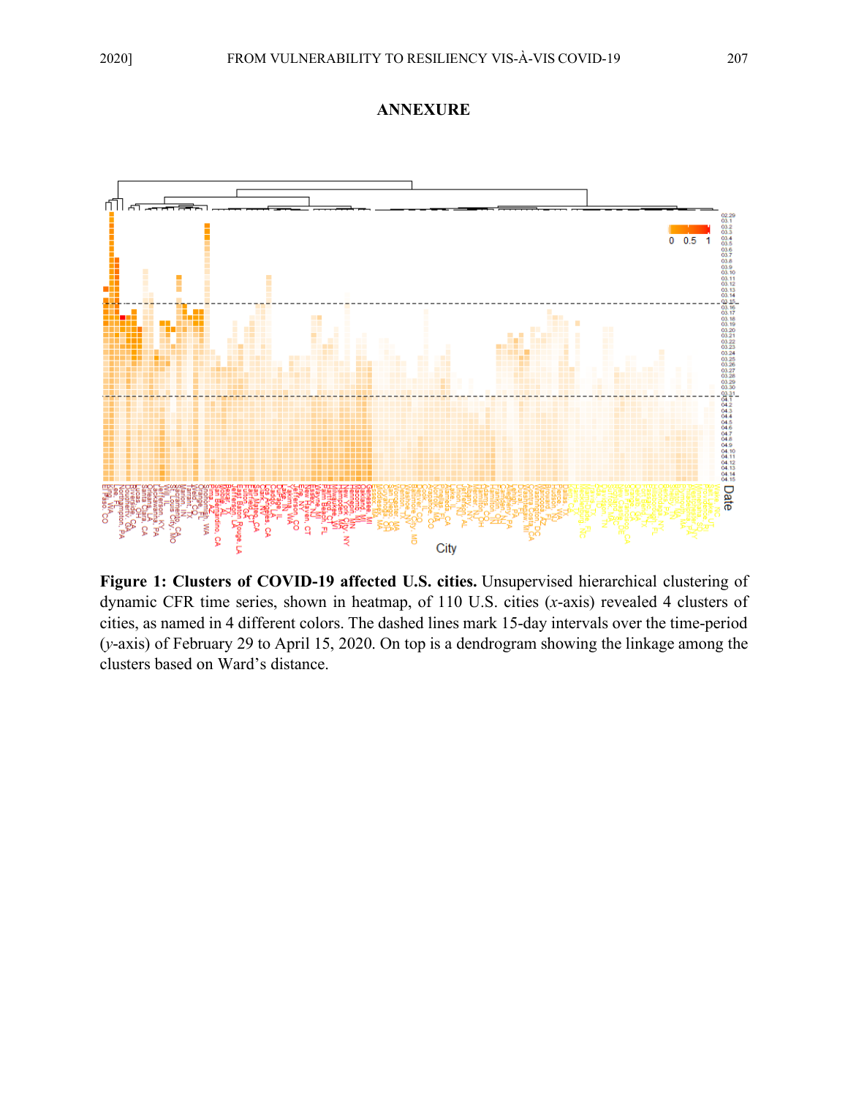



**Figure 1: Clusters of COVID-19 affected U.S. cities.** Unsupervised hierarchical clustering of dynamic CFR time series, shown in heatmap, of 110 U.S. cities (*x*-axis) revealed 4 clusters of cities, as named in 4 different colors. The dashed lines mark 15-day intervals over the time-period (*y*-axis) of February 29 to April 15, 2020. On top is a dendrogram showing the linkage among the clusters based on Ward's distance.